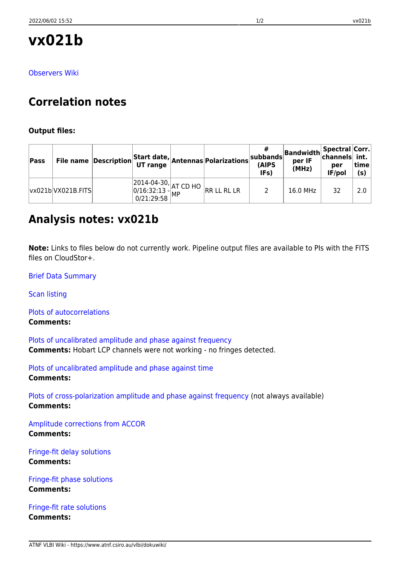# **vx021b**

[Observers Wiki](http://www.atnf.csiro.au/vlbi/wiki/index.php?n=LBAApr2014.VX021B)

## **Correlation notes**

#### **Output files:**

| Pass |                    |  | File name $\left \textsf{Description}\right $ Start date, Antennas Polarizations                                                                   | $ $ subbands $ $ '<br>(AIPS<br>IF <sub>s</sub> ) | Bandwidth Spectral Corr.<br>per IF<br>(MHz) | per<br>IF/pol | time<br>(s) |
|------|--------------------|--|----------------------------------------------------------------------------------------------------------------------------------------------------|--------------------------------------------------|---------------------------------------------|---------------|-------------|
|      | vx021b VX021B.FITS |  | $\begin{array}{ l l l l l } \hline 2014-04-30, & & & & & \ \hline 0/16:32:13 & & & & \ \hline 0/21:29:58 & & & & \ \hline \end{array}$ RR LL RL LR |                                                  | 16.0 MHz                                    | 32            | 2.0         |

### **Analysis notes: vx021b**

**Note:** Links to files below do not currently work. Pipeline output files are available to PIs with the FITS files on CloudStor+.

[Brief Data Summary](ftp://ftp.atnf.csiro.au/pub/people/vlbi/pipeline/vx021b/vx021b.DTSUM)

[Scan listing](ftp://ftp.atnf.csiro.au/pub/people/vlbi/pipeline/vx021b/vx021b.SCAN)

[Plots of autocorrelations](ftp://ftp.atnf.csiro.au/pub/people/vlbi/pipeline/vx021b/vx021b_POSSM_AUTOCORR.pdf) **Comments:**

[Plots of uncalibrated amplitude and phase against frequency](ftp://ftp.atnf.csiro.au/pub/people/vlbi/pipeline/vx021b/vx021b_POSSM_UNCAL.pdf) **Comments:** Hobart LCP channels were not working - no fringes detected.

[Plots of uncalibrated amplitude and phase against time](ftp://ftp.atnf.csiro.au/pub/people/vlbi/pipeline/vx021b/vx021b_VPLOT_UNCAL.pdf) **Comments:**

[Plots of cross-polarization amplitude and phase against frequency](ftp://ftp.atnf.csiro.au/pub/people/vlbi/pipeline/vx021b/vx021b_POSSM_CPOL.pdf) (not always available) **Comments:**

[Amplitude corrections from ACCOR](ftp://ftp.atnf.csiro.au/pub/people/vlbi/pipeline/vx021b/vx021b_ACCOR.pdf) **Comments:**

[Fringe-fit delay solutions](ftp://ftp.atnf.csiro.au/pub/people/vlbi/pipeline/vx021b/vx021b_FRING_DELAY.pdf) **Comments:**

[Fringe-fit phase solutions](ftp://ftp.atnf.csiro.au/pub/people/vlbi/pipeline/vx021b/vx021b_FRING_PHAS.pdf) **Comments:**

[Fringe-fit rate solutions](ftp://ftp.atnf.csiro.au/pub/people/vlbi/pipeline/vx021b/vx021b_FRING_RATE.pdf) **Comments:**